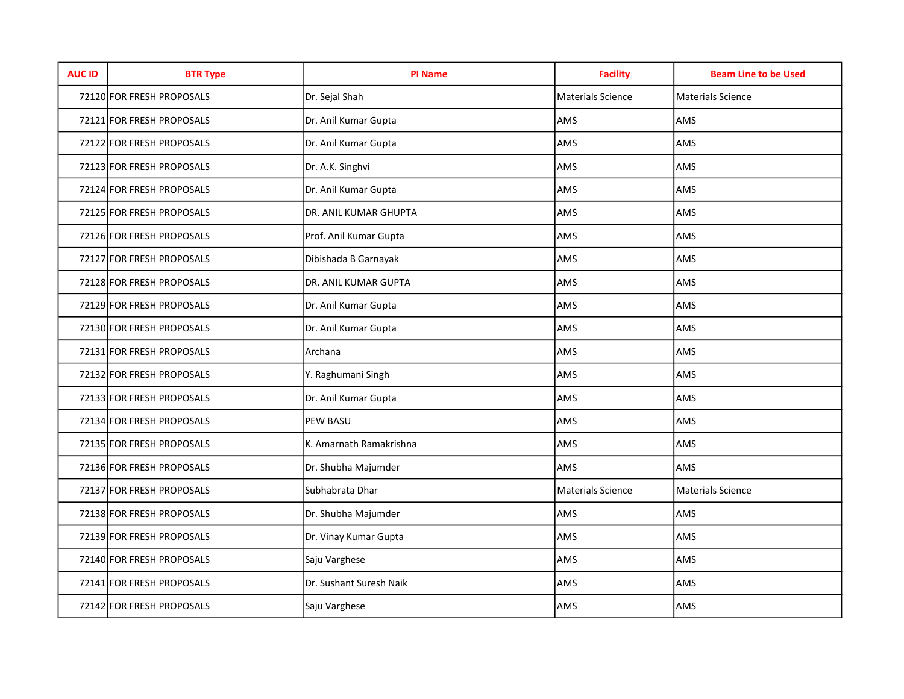| <b>AUC ID</b> | <b>BTR Type</b>           | <b>PI Name</b>          | <b>Facility</b>   | <b>Beam Line to be Used</b> |
|---------------|---------------------------|-------------------------|-------------------|-----------------------------|
|               | 72120 FOR FRESH PROPOSALS | Dr. Sejal Shah          | Materials Science | <b>Materials Science</b>    |
|               | 72121 FOR FRESH PROPOSALS | Dr. Anil Kumar Gupta    | AMS               | AMS                         |
|               | 72122 FOR FRESH PROPOSALS | Dr. Anil Kumar Gupta    | AMS               | AMS                         |
|               | 72123 FOR FRESH PROPOSALS | Dr. A.K. Singhvi        | AMS               | AMS                         |
|               | 72124 FOR FRESH PROPOSALS | Dr. Anil Kumar Gupta    | AMS               | AMS                         |
|               | 72125 FOR FRESH PROPOSALS | DR. ANIL KUMAR GHUPTA   | AMS               | AMS                         |
|               | 72126 FOR FRESH PROPOSALS | Prof. Anil Kumar Gupta  | AMS               | AMS                         |
|               | 72127 FOR FRESH PROPOSALS | Dibishada B Garnayak    | AMS               | AMS                         |
|               | 72128 FOR FRESH PROPOSALS | DR. ANIL KUMAR GUPTA    | AMS               | AMS                         |
|               | 72129 FOR FRESH PROPOSALS | Dr. Anil Kumar Gupta    | AMS               | AMS                         |
|               | 72130 FOR FRESH PROPOSALS | Dr. Anil Kumar Gupta    | AMS               | AMS                         |
|               | 72131 FOR FRESH PROPOSALS | Archana                 | AMS               | AMS                         |
|               | 72132 FOR FRESH PROPOSALS | Y. Raghumani Singh      | AMS               | AMS                         |
|               | 72133 FOR FRESH PROPOSALS | Dr. Anil Kumar Gupta    | AMS               | AMS                         |
|               | 72134 FOR FRESH PROPOSALS | <b>PEW BASU</b>         | AMS               | AMS                         |
|               | 72135 FOR FRESH PROPOSALS | K. Amarnath Ramakrishna | AMS               | AMS                         |
|               | 72136 FOR FRESH PROPOSALS | Dr. Shubha Majumder     | AMS               | AMS                         |
|               | 72137 FOR FRESH PROPOSALS | Subhabrata Dhar         | Materials Science | Materials Science           |
|               | 72138 FOR FRESH PROPOSALS | Dr. Shubha Majumder     | AMS               | AMS                         |
|               | 72139 FOR FRESH PROPOSALS | Dr. Vinay Kumar Gupta   | AMS               | AMS                         |
|               | 72140 FOR FRESH PROPOSALS | Saju Varghese           | AMS               | AMS                         |
|               | 72141 FOR FRESH PROPOSALS | Dr. Sushant Suresh Naik | AMS               | AMS                         |
|               | 72142 FOR FRESH PROPOSALS | Saju Varghese           | AMS               | AMS                         |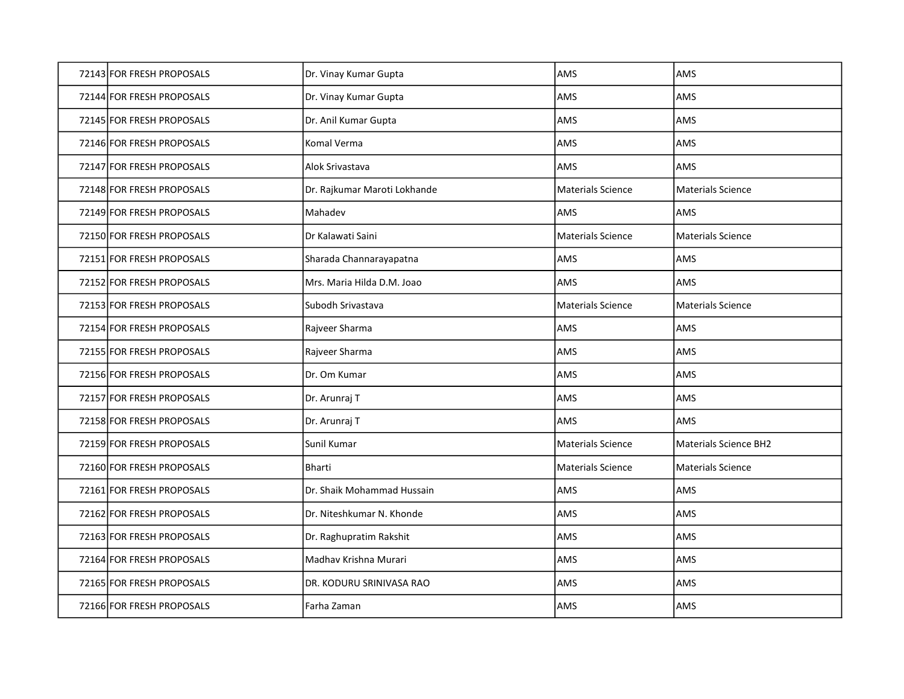| 72143 FOR FRESH PROPOSALS | Dr. Vinay Kumar Gupta        | AMS                      | AMS                          |
|---------------------------|------------------------------|--------------------------|------------------------------|
| 72144 FOR FRESH PROPOSALS | Dr. Vinay Kumar Gupta        | AMS                      | AMS                          |
| 72145 FOR FRESH PROPOSALS | Dr. Anil Kumar Gupta         | AMS                      | AMS                          |
| 72146 FOR FRESH PROPOSALS | Komal Verma                  | AMS                      | AMS                          |
| 72147 FOR FRESH PROPOSALS | Alok Srivastava              | AMS                      | <b>AMS</b>                   |
| 72148 FOR FRESH PROPOSALS | Dr. Rajkumar Maroti Lokhande | <b>Materials Science</b> | <b>Materials Science</b>     |
| 72149 FOR FRESH PROPOSALS | Mahadev                      | AMS                      | AMS                          |
| 72150 FOR FRESH PROPOSALS | Dr Kalawati Saini            | Materials Science        | <b>Materials Science</b>     |
| 72151 FOR FRESH PROPOSALS | Sharada Channarayapatna      | AMS                      | AMS                          |
| 72152 FOR FRESH PROPOSALS | Mrs. Maria Hilda D.M. Joao   | AMS                      | AMS                          |
| 72153 FOR FRESH PROPOSALS | Subodh Srivastava            | <b>Materials Science</b> | <b>Materials Science</b>     |
| 72154 FOR FRESH PROPOSALS | Rajveer Sharma               | AMS                      | AMS                          |
| 72155 FOR FRESH PROPOSALS | Rajveer Sharma               | AMS                      | AMS                          |
| 72156 FOR FRESH PROPOSALS | Dr. Om Kumar                 | AMS                      | AMS                          |
| 72157 FOR FRESH PROPOSALS | Dr. Arunraj T                | AMS                      | AMS                          |
| 72158 FOR FRESH PROPOSALS | Dr. Arunraj T                | AMS                      | AMS                          |
| 72159 FOR FRESH PROPOSALS | Sunil Kumar                  | <b>Materials Science</b> | <b>Materials Science BH2</b> |
| 72160 FOR FRESH PROPOSALS | Bharti                       | <b>Materials Science</b> | <b>Materials Science</b>     |
| 72161 FOR FRESH PROPOSALS | Dr. Shaik Mohammad Hussain   | AMS                      | AMS                          |
| 72162 FOR FRESH PROPOSALS | Dr. Niteshkumar N. Khonde    | AMS                      | AMS                          |
| 72163 FOR FRESH PROPOSALS | Dr. Raghupratim Rakshit      | AMS                      | AMS                          |
| 72164 FOR FRESH PROPOSALS | Madhav Krishna Murari        | AMS                      | AMS                          |
| 72165 FOR FRESH PROPOSALS | DR. KODURU SRINIVASA RAO     | AMS                      | AMS                          |
|                           |                              |                          |                              |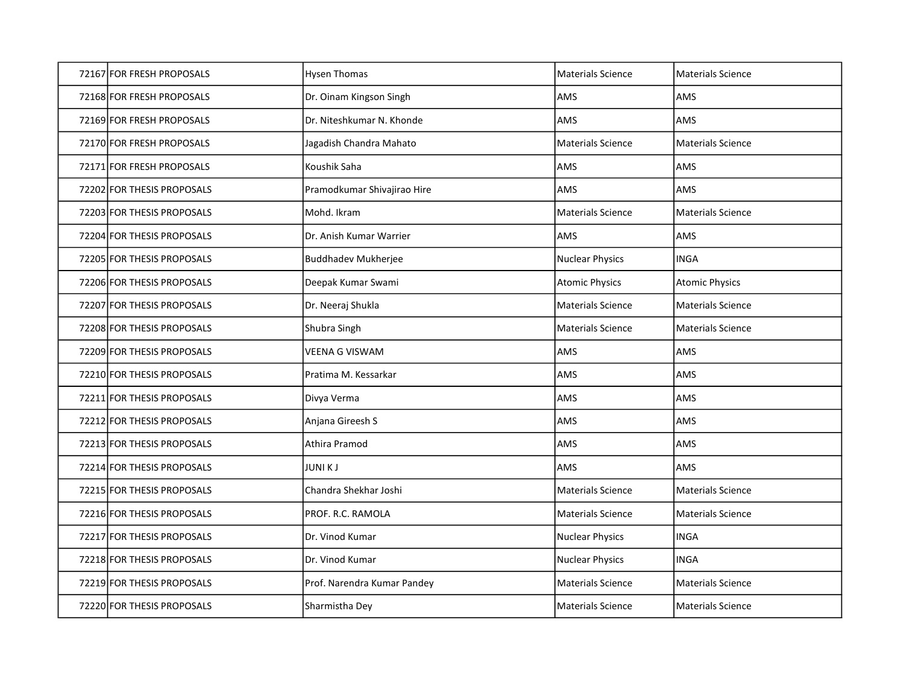| 72167 FOR FRESH PROPOSALS  | <b>Hysen Thomas</b>         | <b>Materials Science</b> | Materials Science        |
|----------------------------|-----------------------------|--------------------------|--------------------------|
| 72168 FOR FRESH PROPOSALS  | Dr. Oinam Kingson Singh     | AMS                      | AMS                      |
| 72169 FOR FRESH PROPOSALS  | Dr. Niteshkumar N. Khonde   | AMS                      | AMS                      |
| 72170 FOR FRESH PROPOSALS  | Jagadish Chandra Mahato     | <b>Materials Science</b> | <b>Materials Science</b> |
| 72171 FOR FRESH PROPOSALS  | Koushik Saha                | <b>AMS</b>               | AMS                      |
| 72202 FOR THESIS PROPOSALS | Pramodkumar Shivajirao Hire | AMS                      | AMS                      |
| 72203 FOR THESIS PROPOSALS | Mohd. Ikram                 | <b>Materials Science</b> | <b>Materials Science</b> |
| 72204 FOR THESIS PROPOSALS | Dr. Anish Kumar Warrier     | AMS                      | AMS                      |
| 72205 FOR THESIS PROPOSALS | <b>Buddhadev Mukherjee</b>  | <b>Nuclear Physics</b>   | <b>INGA</b>              |
| 72206 FOR THESIS PROPOSALS | Deepak Kumar Swami          | <b>Atomic Physics</b>    | <b>Atomic Physics</b>    |
| 72207 FOR THESIS PROPOSALS | Dr. Neeraj Shukla           | <b>Materials Science</b> | <b>Materials Science</b> |
| 72208 FOR THESIS PROPOSALS | Shubra Singh                | <b>Materials Science</b> | <b>Materials Science</b> |
| 72209 FOR THESIS PROPOSALS | VEENA G VISWAM              | AMS                      | AMS                      |
| 72210 FOR THESIS PROPOSALS | Pratima M. Kessarkar        | AMS                      | AMS                      |
| 72211 FOR THESIS PROPOSALS | Divya Verma                 | <b>AMS</b>               | AMS                      |
| 72212 FOR THESIS PROPOSALS | Anjana Gireesh S            | AMS                      | AMS                      |
| 72213 FOR THESIS PROPOSALS | Athira Pramod               | AMS                      | AMS                      |
| 72214 FOR THESIS PROPOSALS | <b>JUNIKJ</b>               | AMS                      | AMS                      |
| 72215 FOR THESIS PROPOSALS | Chandra Shekhar Joshi       | <b>Materials Science</b> | Materials Science        |
| 72216 FOR THESIS PROPOSALS | PROF. R.C. RAMOLA           | Materials Science        | <b>Materials Science</b> |
| 72217 FOR THESIS PROPOSALS | Dr. Vinod Kumar             | <b>Nuclear Physics</b>   | <b>INGA</b>              |
| 72218 FOR THESIS PROPOSALS | Dr. Vinod Kumar             | <b>Nuclear Physics</b>   | <b>INGA</b>              |
| 72219 FOR THESIS PROPOSALS | Prof. Narendra Kumar Pandey | <b>Materials Science</b> | <b>Materials Science</b> |
| 72220 FOR THESIS PROPOSALS | Sharmistha Dey              | <b>Materials Science</b> | <b>Materials Science</b> |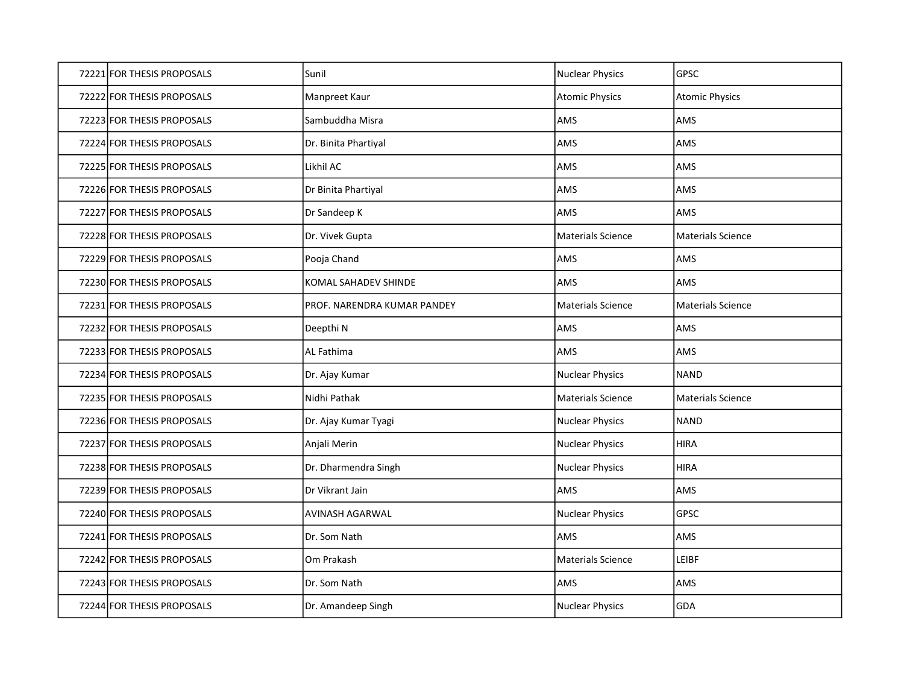| 72221 FOR THESIS PROPOSALS | Sunil                       | Nuclear Physics          | <b>GPSC</b>              |
|----------------------------|-----------------------------|--------------------------|--------------------------|
| 72222 FOR THESIS PROPOSALS | Manpreet Kaur               | <b>Atomic Physics</b>    | <b>Atomic Physics</b>    |
| 72223 FOR THESIS PROPOSALS | Sambuddha Misra             | AMS                      | AMS                      |
| 72224 FOR THESIS PROPOSALS | Dr. Binita Phartiyal        | AMS                      | AMS                      |
| 72225 FOR THESIS PROPOSALS | Likhil AC                   | AMS                      | AMS                      |
| 72226 FOR THESIS PROPOSALS | Dr Binita Phartiyal         | AMS                      | AMS                      |
| 72227 FOR THESIS PROPOSALS | Dr Sandeep K                | AMS                      | AMS                      |
| 72228 FOR THESIS PROPOSALS | Dr. Vivek Gupta             | <b>Materials Science</b> | Materials Science        |
| 72229 FOR THESIS PROPOSALS | Pooja Chand                 | AMS                      | AMS                      |
| 72230 FOR THESIS PROPOSALS | <b>KOMAL SAHADEV SHINDE</b> | AMS                      | AMS                      |
| 72231 FOR THESIS PROPOSALS | PROF. NARENDRA KUMAR PANDEY | <b>Materials Science</b> | <b>Materials Science</b> |
| 72232 FOR THESIS PROPOSALS | Deepthi N                   | AMS                      | AMS                      |
| 72233 FOR THESIS PROPOSALS | AL Fathima                  | AMS                      | AMS                      |
| 72234 FOR THESIS PROPOSALS | Dr. Ajay Kumar              | <b>Nuclear Physics</b>   | <b>NAND</b>              |
| 72235 FOR THESIS PROPOSALS | Nidhi Pathak                | <b>Materials Science</b> | <b>Materials Science</b> |
| 72236 FOR THESIS PROPOSALS | Dr. Ajay Kumar Tyagi        | <b>Nuclear Physics</b>   | <b>NAND</b>              |
| 72237 FOR THESIS PROPOSALS | Anjali Merin                | <b>Nuclear Physics</b>   | <b>HIRA</b>              |
| 72238 FOR THESIS PROPOSALS | Dr. Dharmendra Singh        | <b>Nuclear Physics</b>   | <b>HIRA</b>              |
| 72239 FOR THESIS PROPOSALS | Dr Vikrant Jain             | AMS                      | AMS                      |
| 72240 FOR THESIS PROPOSALS | AVINASH AGARWAL             | <b>Nuclear Physics</b>   | <b>GPSC</b>              |
| 72241 FOR THESIS PROPOSALS | Dr. Som Nath                | AMS                      | AMS                      |
| 72242 FOR THESIS PROPOSALS | Om Prakash                  | <b>Materials Science</b> | LEIBF                    |
| 72243 FOR THESIS PROPOSALS | Dr. Som Nath                | AMS                      | AMS                      |
| 72244 FOR THESIS PROPOSALS | Dr. Amandeep Singh          | <b>Nuclear Physics</b>   | GDA                      |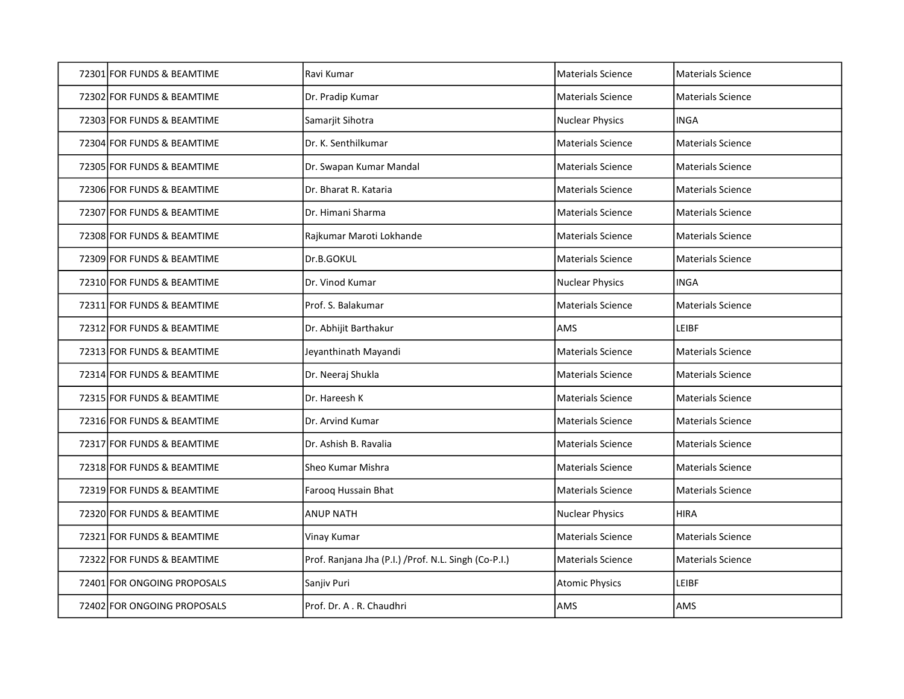| 72301 FOR FUNDS & BEAMTIME  | Ravi Kumar                                            | Materials Science        | Materials Science        |
|-----------------------------|-------------------------------------------------------|--------------------------|--------------------------|
| 72302 FOR FUNDS & BEAMTIME  | Dr. Pradip Kumar                                      | <b>Materials Science</b> | <b>Materials Science</b> |
| 72303 FOR FUNDS & BEAMTIME  | Samarjit Sihotra                                      | <b>Nuclear Physics</b>   | <b>INGA</b>              |
| 72304 FOR FUNDS & BEAMTIME  | Dr. K. Senthilkumar                                   | <b>Materials Science</b> | <b>Materials Science</b> |
| 72305 FOR FUNDS & BEAMTIME  | Dr. Swapan Kumar Mandal                               | <b>Materials Science</b> | <b>Materials Science</b> |
| 72306 FOR FUNDS & BEAMTIME  | Dr. Bharat R. Kataria                                 | <b>Materials Science</b> | <b>Materials Science</b> |
| 72307 FOR FUNDS & BEAMTIME  | Dr. Himani Sharma                                     | Materials Science        | <b>Materials Science</b> |
| 72308 FOR FUNDS & BEAMTIME  | Rajkumar Maroti Lokhande                              | <b>Materials Science</b> | <b>Materials Science</b> |
| 72309 FOR FUNDS & BEAMTIME  | Dr.B.GOKUL                                            | <b>Materials Science</b> | <b>Materials Science</b> |
| 72310 FOR FUNDS & BEAMTIME  | Dr. Vinod Kumar                                       | Nuclear Physics          | <b>INGA</b>              |
| 72311 FOR FUNDS & BEAMTIME  | Prof. S. Balakumar                                    | <b>Materials Science</b> | <b>Materials Science</b> |
| 72312 FOR FUNDS & BEAMTIME  | Dr. Abhijit Barthakur                                 | AMS                      | LEIBF                    |
| 72313 FOR FUNDS & BEAMTIME  | Jeyanthinath Mayandi                                  | <b>Materials Science</b> | <b>Materials Science</b> |
| 72314 FOR FUNDS & BEAMTIME  | Dr. Neeraj Shukla                                     | <b>Materials Science</b> | <b>Materials Science</b> |
| 72315 FOR FUNDS & BEAMTIME  | Dr. Hareesh K                                         | <b>Materials Science</b> | <b>Materials Science</b> |
| 72316 FOR FUNDS & BEAMTIME  | Dr. Arvind Kumar                                      | <b>Materials Science</b> | <b>Materials Science</b> |
| 72317 FOR FUNDS & BEAMTIME  | Dr. Ashish B. Ravalia                                 | <b>Materials Science</b> | Materials Science        |
| 72318 FOR FUNDS & BEAMTIME  | Sheo Kumar Mishra                                     | <b>Materials Science</b> | <b>Materials Science</b> |
| 72319 FOR FUNDS & BEAMTIME  | Farooq Hussain Bhat                                   | <b>Materials Science</b> | <b>Materials Science</b> |
| 72320 FOR FUNDS & BEAMTIME  | <b>ANUP NATH</b>                                      | <b>Nuclear Physics</b>   | <b>HIRA</b>              |
| 72321 FOR FUNDS & BEAMTIME  | Vinay Kumar                                           | <b>Materials Science</b> | <b>Materials Science</b> |
| 72322 FOR FUNDS & BEAMTIME  | Prof. Ranjana Jha (P.I.) / Prof. N.L. Singh (Co-P.I.) | <b>Materials Science</b> | <b>Materials Science</b> |
| 72401 FOR ONGOING PROPOSALS | Sanjiv Puri                                           | <b>Atomic Physics</b>    | <b>LEIBF</b>             |
| 72402 FOR ONGOING PROPOSALS | Prof. Dr. A . R. Chaudhri                             | AMS                      | AMS                      |